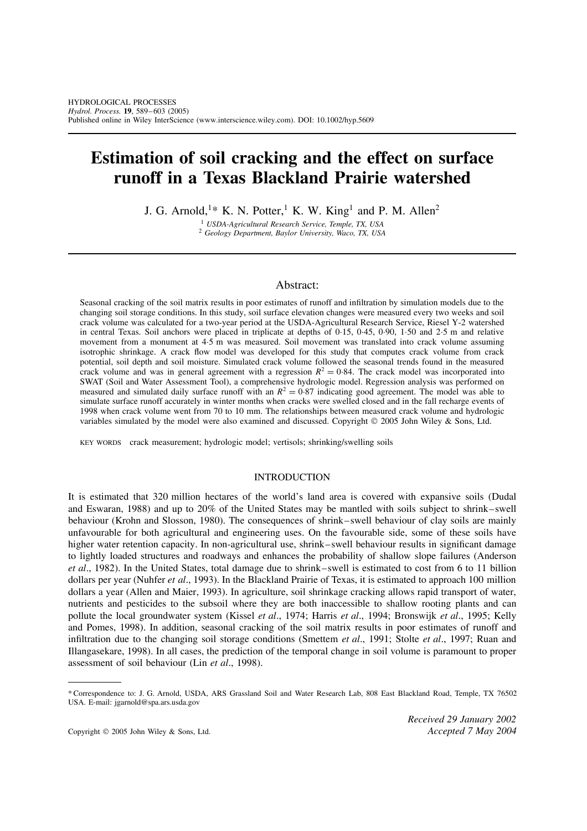# **Estimation of soil cracking and the effect on surface runoff in a Texas Blackland Prairie watershed**

J. G. Arnold,<sup>1\*</sup> K. N. Potter,<sup>1</sup> K. W. King<sup>1</sup> and P. M. Allen<sup>2</sup>

<sup>1</sup> *USDA-Agricultural Research Service, Temple, TX, USA* <sup>2</sup> *Geology Department, Baylor University, Waco, TX, USA*

## Abstract:

Seasonal cracking of the soil matrix results in poor estimates of runoff and infiltration by simulation models due to the changing soil storage conditions. In this study, soil surface elevation changes were measured every two weeks and soil crack volume was calculated for a two-year period at the USDA-Agricultural Research Service, Riesel Y-2 watershed in central Texas. Soil anchors were placed in triplicate at depths of  $0.15$ ,  $0.45$ ,  $0.90$ ,  $1.50$  and  $2.5$  m and relative movement from a monument at 4.5 m was measured. Soil movement was translated into crack volume assuming isotrophic shrinkage. A crack flow model was developed for this study that computes crack volume from crack potential, soil depth and soil moisture. Simulated crack volume followed the seasonal trends found in the measured crack volume and was in general agreement with a regression  $R^2 = 0.84$ . The crack model was incorporated into SWAT (Soil and Water Assessment Tool), a comprehensive hydrologic model. Regression analysis was performed on measured and simulated daily surface runoff with an  $R^2 = 0.87$  indicating good agreement. The model was able to simulate surface runoff accurately in winter months when cracks were swelled closed and in the fall recharge events of 1998 when crack volume went from 70 to 10 mm. The relationships between measured crack volume and hydrologic variables simulated by the model were also examined and discussed. Copyright © 2005 John Wiley & Sons, Ltd.

KEY WORDS crack measurement; hydrologic model; vertisols; shrinking/swelling soils

#### INTRODUCTION

It is estimated that 320 million hectares of the world's land area is covered with expansive soils (Dudal and Eswaran, 1988) and up to 20% of the United States may be mantled with soils subject to shrink–swell behaviour (Krohn and Slosson, 1980). The consequences of shrink– swell behaviour of clay soils are mainly unfavourable for both agricultural and engineering uses. On the favourable side, some of these soils have higher water retention capacity. In non-agricultural use, shrink–swell behaviour results in significant damage to lightly loaded structures and roadways and enhances the probability of shallow slope failures (Anderson *et al*., 1982). In the United States, total damage due to shrink–swell is estimated to cost from 6 to 11 billion dollars per year (Nuhfer *et al*., 1993). In the Blackland Prairie of Texas, it is estimated to approach 100 million dollars a year (Allen and Maier, 1993). In agriculture, soil shrinkage cracking allows rapid transport of water, nutrients and pesticides to the subsoil where they are both inaccessible to shallow rooting plants and can pollute the local groundwater system (Kissel *et al*., 1974; Harris *et al*., 1994; Bronswijk *et al*., 1995; Kelly and Pomes, 1998). In addition, seasonal cracking of the soil matrix results in poor estimates of runoff and infiltration due to the changing soil storage conditions (Smettem *et al*., 1991; Stolte *et al*., 1997; Ruan and Illangasekare, 1998). In all cases, the prediction of the temporal change in soil volume is paramount to proper assessment of soil behaviour (Lin *et al*., 1998).

*Received 29 January 2002*

<sup>\*</sup> Correspondence to: J. G. Arnold, USDA, ARS Grassland Soil and Water Research Lab, 808 East Blackland Road, Temple, TX 76502 USA. E-mail: jgarnold@spa.ars.usda.gov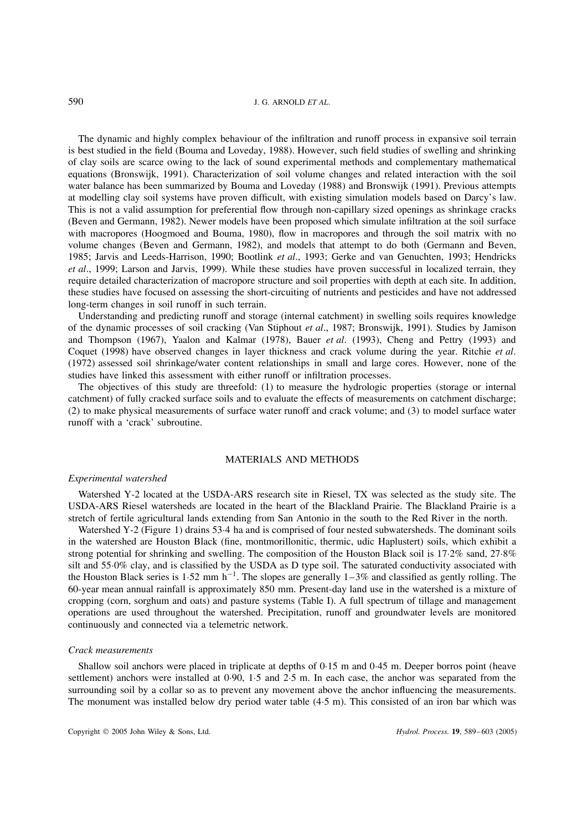The dynamic and highly complex behaviour of the infiltration and runoff process in expansive soil terrain is best studied in the field (Bouma and Loveday, 1988). However, such field studies of swelling and shrinking of clay soils are scarce owing to the lack of sound experimental methods and complementary mathematical equations (Bronswijk, 1991). Characterization of soil volume changes and related interaction with the soil water balance has been summarized by Bouma and Loveday (1988) and Bronswijk (1991). Previous attempts at modelling clay soil systems have proven difficult, with existing simulation models based on Darcy's law. This is not a valid assumption for preferential flow through non-capillary sized openings as shrinkage cracks (Beven and Germann, 1982). Newer models have been proposed which simulate infiltration at the soil surface with macropores (Hoogmoed and Bouma, 1980), flow in macropores and through the soil matrix with no volume changes (Beven and Germann, 1982), and models that attempt to do both (Germann and Beven, 1985; Jarvis and Leeds-Harrison, 1990; Bootlink *et al*., 1993; Gerke and van Genuchten, 1993; Hendricks *et al*., 1999; Larson and Jarvis, 1999). While these studies have proven successful in localized terrain, they require detailed characterization of macropore structure and soil properties with depth at each site. In addition, these studies have focused on assessing the short-circuiting of nutrients and pesticides and have not addressed long-term changes in soil runoff in such terrain.

Understanding and predicting runoff and storage (internal catchment) in swelling soils requires knowledge of the dynamic processes of soil cracking (Van Stiphout *et al*., 1987; Bronswijk, 1991). Studies by Jamison and Thompson (1967), Yaalon and Kalmar (1978), Bauer *et al*. (1993), Cheng and Pettry (1993) and Coquet (1998) have observed changes in layer thickness and crack volume during the year. Ritchie *et al*. (1972) assessed soil shrinkage/water content relationships in small and large cores. However, none of the studies have linked this assessment with either runoff or infiltration processes.

The objectives of this study are threefold: (1) to measure the hydrologic properties (storage or internal catchment) of fully cracked surface soils and to evaluate the effects of measurements on catchment discharge; (2) to make physical measurements of surface water runoff and crack volume; and (3) to model surface water runoff with a 'crack' subroutine.

#### MATERIALS AND METHODS

#### *Experimental watershed*

Watershed Y-2 located at the USDA-ARS research site in Riesel, TX was selected as the study site. The USDA-ARS Riesel watersheds are located in the heart of the Blackland Prairie. The Blackland Prairie is a stretch of fertile agricultural lands extending from San Antonio in the south to the Red River in the north.

Watershed Y-2 (Figure 1) drains 53.4 ha and is comprised of four nested subwatersheds. The dominant soils in the watershed are Houston Black (fine, montmorillonitic, thermic, udic Haplustert) soils, which exhibit a strong potential for shrinking and swelling. The composition of the Houston Black soil is 17 $\cdot$ 2% sand, 27 $\cdot$ 8% silt and 55 $0\%$  clay, and is classified by the USDA as D type soil. The saturated conductivity associated with the Houston Black series is 1.52 mm  $h^{-1}$ . The slopes are generally 1–3% and classified as gently rolling. The 60-year mean annual rainfall is approximately 850 mm. Present-day land use in the watershed is a mixture of cropping (corn, sorghum and oats) and pasture systems (Table I). A full spectrum of tillage and management operations are used throughout the watershed. Precipitation, runoff and groundwater levels are monitored continuously and connected via a telemetric network.

#### *Crack measurements*

Shallow soil anchors were placed in triplicate at depths of 0.15 m and 0.45 m. Deeper borros point (heave settlement) anchors were installed at  $0.90, 1.5$  and  $2.5$  m. In each case, the anchor was separated from the surrounding soil by a collar so as to prevent any movement above the anchor influencing the measurements. The monument was installed below dry period water table (4.5 m). This consisted of an iron bar which was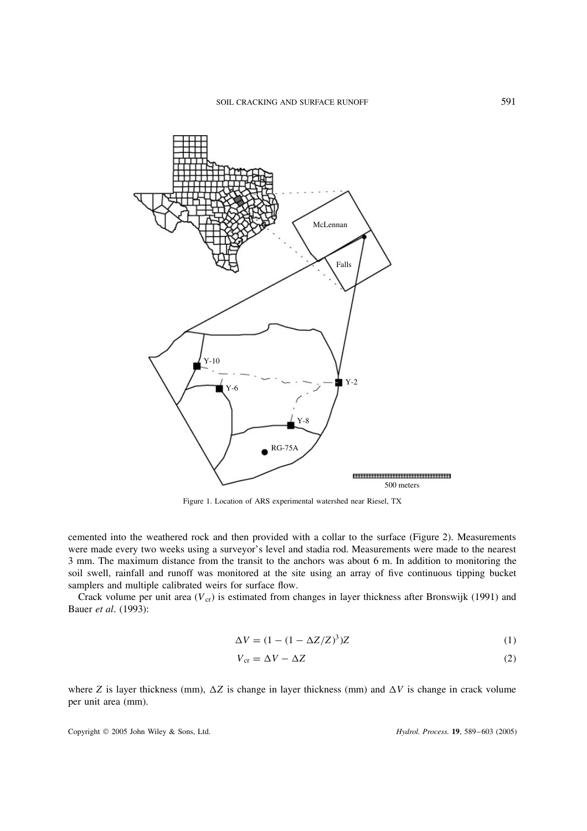

Figure 1. Location of ARS experimental watershed near Riesel, TX

cemented into the weathered rock and then provided with a collar to the surface (Figure 2). Measurements were made every two weeks using a surveyor's level and stadia rod. Measurements were made to the nearest 3 mm. The maximum distance from the transit to the anchors was about 6 m. In addition to monitoring the soil swell, rainfall and runoff was monitored at the site using an array of five continuous tipping bucket samplers and multiple calibrated weirs for surface flow.

Crack volume per unit area  $(V_{cr})$  is estimated from changes in layer thickness after Bronswijk (1991) and Bauer *et al*. (1993):

$$
\Delta V = (1 - (1 - \Delta Z/Z)^3)Z\tag{1}
$$

$$
V_{\rm cr} = \Delta V - \Delta Z \tag{2}
$$

where Z is layer thickness (mm),  $\Delta Z$  is change in layer thickness (mm) and  $\Delta V$  is change in crack volume per unit area (mm).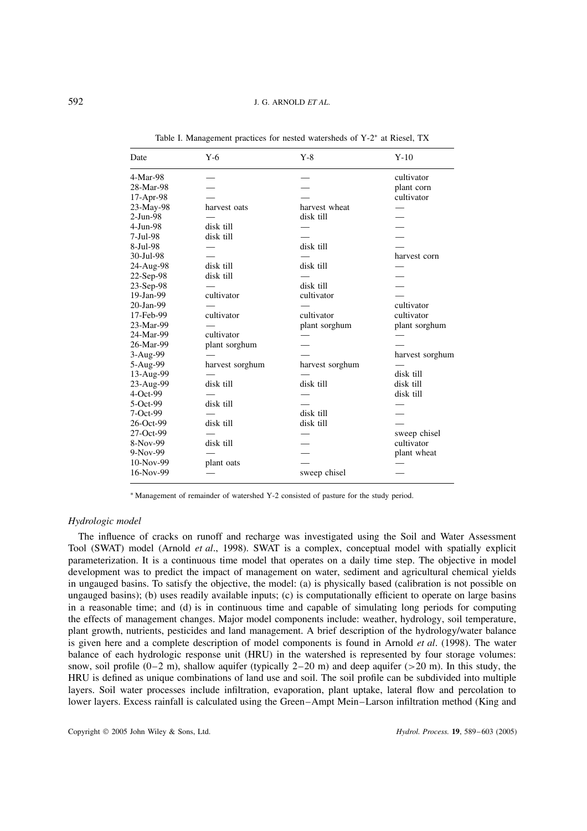| Date      | $Y-6$           | $Y-8$           | $Y-10$          |
|-----------|-----------------|-----------------|-----------------|
| 4-Mar-98  |                 |                 | cultivator      |
| 28-Mar-98 |                 |                 | plant corn      |
| 17-Apr-98 |                 |                 | cultivator      |
| 23-May-98 | harvest oats    | harvest wheat   |                 |
| 2-Jun-98  |                 | disk till       |                 |
| 4-Jun-98  | disk till       |                 |                 |
| 7-Jul-98  | disk till       |                 |                 |
| 8-Jul-98  |                 | disk till       |                 |
| 30-Jul-98 |                 |                 | harvest corn    |
| 24-Aug-98 | disk till       | disk till       |                 |
| 22-Sep-98 | disk till       |                 |                 |
| 23-Sep-98 |                 | disk till       |                 |
| 19-Jan-99 | cultivator      | cultivator      |                 |
| 20-Jan-99 |                 |                 | cultivator      |
| 17-Feb-99 | cultivator      | cultivator      | cultivator      |
| 23-Mar-99 |                 | plant sorghum   | plant sorghum   |
| 24-Mar-99 | cultivator      |                 |                 |
| 26-Mar-99 | plant sorghum   |                 |                 |
| 3-Aug-99  |                 |                 | harvest sorghum |
| 5-Aug-99  | harvest sorghum | harvest sorghum |                 |
| 13-Aug-99 |                 |                 | disk till       |
| 23-Aug-99 | disk till       | disk till       | disk till       |
| 4-Oct-99  |                 |                 | disk till       |
| 5-Oct-99  | disk till       |                 |                 |
| 7-Oct-99  |                 | disk till       |                 |
| 26-Oct-99 | disk till       | disk till       |                 |
| 27-Oct-99 |                 |                 | sweep chisel    |
| 8-Nov-99  | disk till       |                 | cultivator      |
| 9-Nov-99  |                 |                 | plant wheat     |
| 10-Nov-99 | plant oats      |                 |                 |
| 16-Nov-99 |                 | sweep chisel    |                 |

Table I. Management practices for nested watersheds of Y-2<sup>\*</sup> at Riesel, TX

\* Management of remainder of watershed Y-2 consisted of pasture for the study period.

## *Hydrologic model*

The influence of cracks on runoff and recharge was investigated using the Soil and Water Assessment Tool (SWAT) model (Arnold *et al*., 1998). SWAT is a complex, conceptual model with spatially explicit parameterization. It is a continuous time model that operates on a daily time step. The objective in model development was to predict the impact of management on water, sediment and agricultural chemical yields in ungauged basins. To satisfy the objective, the model: (a) is physically based (calibration is not possible on ungauged basins); (b) uses readily available inputs; (c) is computationally efficient to operate on large basins in a reasonable time; and (d) is in continuous time and capable of simulating long periods for computing the effects of management changes. Major model components include: weather, hydrology, soil temperature, plant growth, nutrients, pesticides and land management. A brief description of the hydrology/water balance is given here and a complete description of model components is found in Arnold *et al*. (1998). The water balance of each hydrologic response unit (HRU) in the watershed is represented by four storage volumes: snow, soil profile  $(0-2 \text{ m})$ , shallow aquifer (typically 2–20 m) and deep aquifer (>20 m). In this study, the HRU is defined as unique combinations of land use and soil. The soil profile can be subdivided into multiple layers. Soil water processes include infiltration, evaporation, plant uptake, lateral flow and percolation to lower layers. Excess rainfall is calculated using the Green–Ampt Mein–Larson infiltration method (King and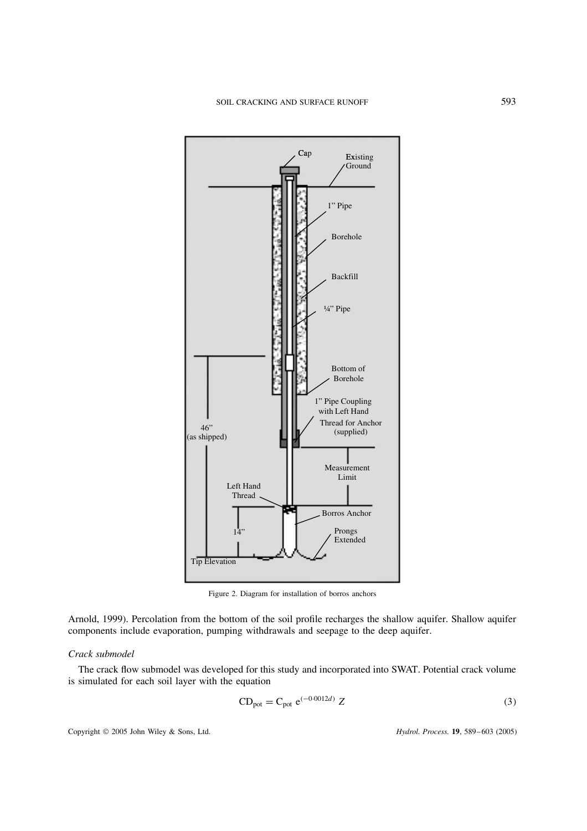

Figure 2. Diagram for installation of borros anchors

Arnold, 1999). Percolation from the bottom of the soil profile recharges the shallow aquifer. Shallow aquifer components include evaporation, pumping withdrawals and seepage to the deep aquifer.

#### *Crack submodel*

The crack flow submodel was developed for this study and incorporated into SWAT. Potential crack volume is simulated for each soil layer with the equation

$$
CDpot = Cpot e(-0.0012d) Z
$$
 (3)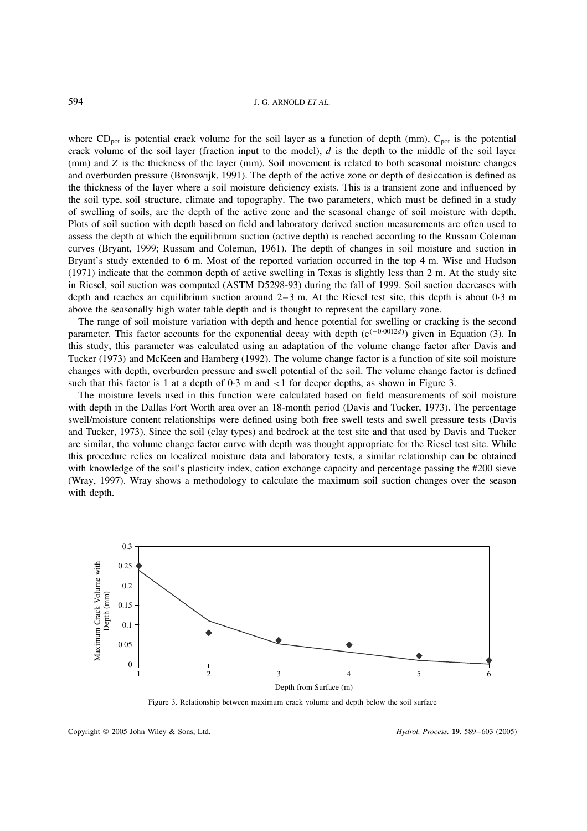where  $CD_{pot}$  is potential crack volume for the soil layer as a function of depth (mm),  $C_{pot}$  is the potential crack volume of the soil layer (fraction input to the model),  $d$  is the depth to the middle of the soil layer (mm) and Z is the thickness of the layer (mm). Soil movement is related to both seasonal moisture changes and overburden pressure (Bronswijk, 1991). The depth of the active zone or depth of desiccation is defined as the thickness of the layer where a soil moisture deficiency exists. This is a transient zone and influenced by the soil type, soil structure, climate and topography. The two parameters, which must be defined in a study of swelling of soils, are the depth of the active zone and the seasonal change of soil moisture with depth. Plots of soil suction with depth based on field and laboratory derived suction measurements are often used to assess the depth at which the equilibrium suction (active depth) is reached according to the Russam Coleman curves (Bryant, 1999; Russam and Coleman, 1961). The depth of changes in soil moisture and suction in Bryant's study extended to 6 m. Most of the reported variation occurred in the top 4 m. Wise and Hudson (1971) indicate that the common depth of active swelling in Texas is slightly less than 2 m. At the study site in Riesel, soil suction was computed (ASTM D5298-93) during the fall of 1999. Soil suction decreases with depth and reaches an equilibrium suction around  $2-3$  m. At the Riesel test site, this depth is about 0.3 m above the seasonally high water table depth and is thought to represent the capillary zone.

The range of soil moisture variation with depth and hence potential for swelling or cracking is the second parameter. This factor accounts for the exponential decay with depth  $(e^{(-0.0012d)})$  given in Equation (3). In this study, this parameter was calculated using an adaptation of the volume change factor after Davis and Tucker (1973) and McKeen and Hamberg (1992). The volume change factor is a function of site soil moisture changes with depth, overburden pressure and swell potential of the soil. The volume change factor is defined such that this factor is 1 at a depth of  $0.3$  m and  $\lt 1$  for deeper depths, as shown in Figure 3.

The moisture levels used in this function were calculated based on field measurements of soil moisture with depth in the Dallas Fort Worth area over an 18-month period (Davis and Tucker, 1973). The percentage swell/moisture content relationships were defined using both free swell tests and swell pressure tests (Davis and Tucker, 1973). Since the soil (clay types) and bedrock at the test site and that used by Davis and Tucker are similar, the volume change factor curve with depth was thought appropriate for the Riesel test site. While this procedure relies on localized moisture data and laboratory tests, a similar relationship can be obtained with knowledge of the soil's plasticity index, cation exchange capacity and percentage passing the #200 sieve (Wray, 1997). Wray shows a methodology to calculate the maximum soil suction changes over the season with depth.



Figure 3. Relationship between maximum crack volume and depth below the soil surface

Copyright 2005 John Wiley & Sons, Ltd. *Hydrol. Process.* **19**, 589– 603 (2005)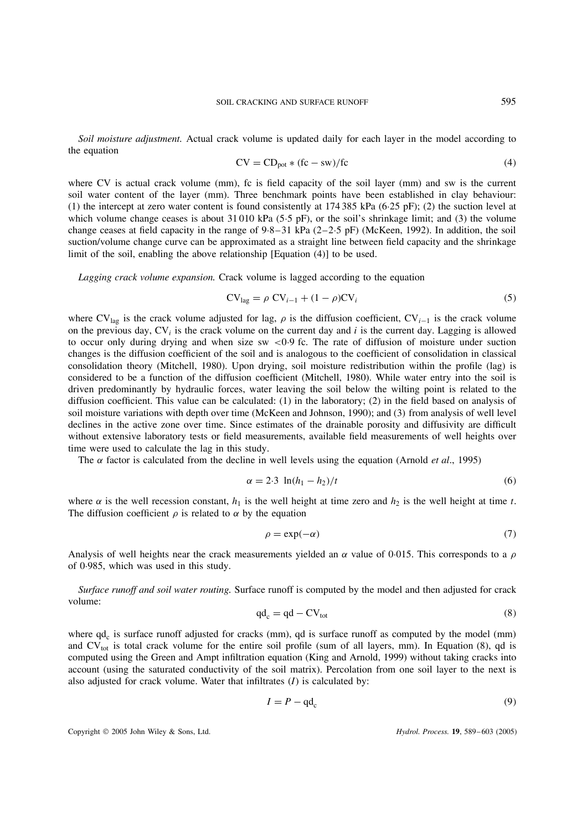*Soil moisture adjustment.* Actual crack volume is updated daily for each layer in the model according to the equation

$$
CV = CD_{pot} * (fc - sw)/fc
$$
 (4)

where CV is actual crack volume (mm), fc is field capacity of the soil layer (mm) and sw is the current soil water content of the layer (mm). Three benchmark points have been established in clay behaviour: (1) the intercept at zero water content is found consistently at  $174\,385$  kPa (6 $\cdot$ 25 pF); (2) the suction level at which volume change ceases is about  $31\,010$  kPa ( $5.5$  pF), or the soil's shrinkage limit; and (3) the volume change ceases at field capacity in the range of  $9.8-31$  kPa (2-2.5 pF) (McKeen, 1992). In addition, the soil suction/volume change curve can be approximated as a straight line between field capacity and the shrinkage limit of the soil, enabling the above relationship [Equation (4)] to be used.

*Lagging crack volume expansion.* Crack volume is lagged according to the equation

$$
CVlag = \rho CVi-1 + (1 - \rho)CVi
$$
\n(5)

where CV<sub>lag</sub> is the crack volume adjusted for lag,  $\rho$  is the diffusion coefficient, CV<sub>i-1</sub> is the crack volume on the previous day,  $CV_i$  is the crack volume on the current day and i is the current day. Lagging is allowed to occur only during drying and when size sw  $\lt 0.9$  fc. The rate of diffusion of moisture under suction changes is the diffusion coefficient of the soil and is analogous to the coefficient of consolidation in classical consolidation theory (Mitchell, 1980). Upon drying, soil moisture redistribution within the profile (lag) is considered to be a function of the diffusion coefficient (Mitchell, 1980). While water entry into the soil is driven predominantly by hydraulic forces, water leaving the soil below the wilting point is related to the diffusion coefficient. This value can be calculated: (1) in the laboratory; (2) in the field based on analysis of soil moisture variations with depth over time (McKeen and Johnson, 1990); and (3) from analysis of well level declines in the active zone over time. Since estimates of the drainable porosity and diffusivity are difficult without extensive laboratory tests or field measurements, available field measurements of well heights over time were used to calculate the lag in this study.

The  $\alpha$  factor is calculated from the decline in well levels using the equation (Arnold *et al.*, 1995)

$$
\alpha = 2.3 \ln(h_1 - h_2)/t \tag{6}
$$

where  $\alpha$  is the well recession constant,  $h_1$  is the well height at time zero and  $h_2$  is the well height at time t. The diffusion coefficient  $\rho$  is related to  $\alpha$  by the equation

$$
\rho = \exp(-\alpha) \tag{7}
$$

Analysis of well heights near the crack measurements yielded an  $\alpha$  value of 0.015. This corresponds to a  $\rho$ of 0Ð985, which was used in this study.

*Surface runoff and soil water routing.* Surface runoff is computed by the model and then adjusted for crack volume:

$$
qd_c = qd - CV_{tot}
$$
 (8)

where  $qd<sub>c</sub>$  is surface runoff adjusted for cracks (mm),  $qd$  is surface runoff as computed by the model (mm) and  $CV_{tot}$  is total crack volume for the entire soil profile (sum of all layers, mm). In Equation (8), qd is computed using the Green and Ampt infiltration equation (King and Arnold, 1999) without taking cracks into account (using the saturated conductivity of the soil matrix). Percolation from one soil layer to the next is also adjusted for crack volume. Water that infiltrates  $(I)$  is calculated by:

$$
I = P - \mathbf{q} \mathbf{d}_{\mathbf{c}} \tag{9}
$$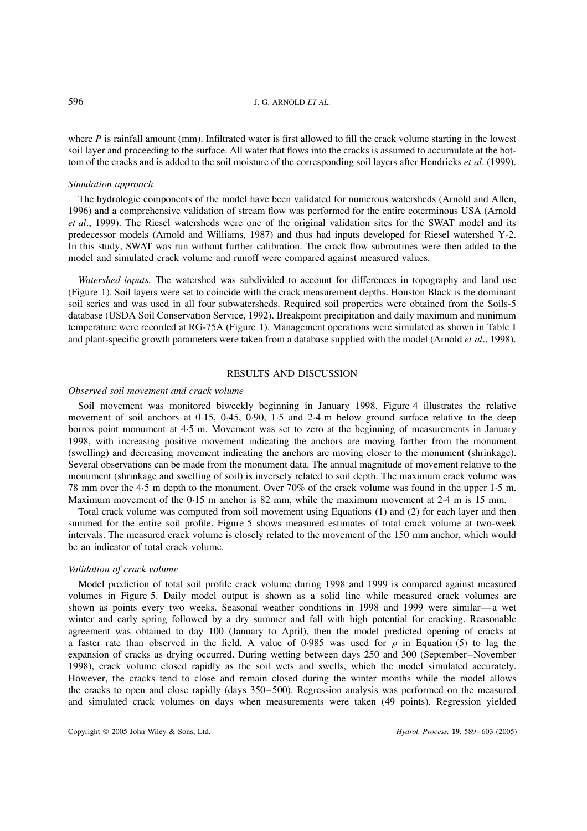where  $P$  is rainfall amount (mm). Infiltrated water is first allowed to fill the crack volume starting in the lowest soil layer and proceeding to the surface. All water that flows into the cracks is assumed to accumulate at the bottom of the cracks and is added to the soil moisture of the corresponding soil layers after Hendricks *et al*. (1999).

#### *Simulation approach*

The hydrologic components of the model have been validated for numerous watersheds (Arnold and Allen, 1996) and a comprehensive validation of stream flow was performed for the entire coterminous USA (Arnold *et al*., 1999). The Riesel watersheds were one of the original validation sites for the SWAT model and its predecessor models (Arnold and Williams, 1987) and thus had inputs developed for Riesel watershed Y-2. In this study, SWAT was run without further calibration. The crack flow subroutines were then added to the model and simulated crack volume and runoff were compared against measured values.

*Watershed inputs.* The watershed was subdivided to account for differences in topography and land use (Figure 1). Soil layers were set to coincide with the crack measurement depths. Houston Black is the dominant soil series and was used in all four subwatersheds. Required soil properties were obtained from the Soils-5 database (USDA Soil Conservation Service, 1992). Breakpoint precipitation and daily maximum and minimum temperature were recorded at RG-75A (Figure 1). Management operations were simulated as shown in Table I and plant-specific growth parameters were taken from a database supplied with the model (Arnold *et al*., 1998).

## RESULTS AND DISCUSSION

#### *Observed soil movement and crack volume*

Soil movement was monitored biweekly beginning in January 1998. Figure 4 illustrates the relative movement of soil anchors at 0 $-15$ , 0 $-45$ , 0 $-90$ ,  $1.5$  and 2 $-4$  m below ground surface relative to the deep borros point monument at 4Ð5 m. Movement was set to zero at the beginning of measurements in January 1998, with increasing positive movement indicating the anchors are moving farther from the monument (swelling) and decreasing movement indicating the anchors are moving closer to the monument (shrinkage). Several observations can be made from the monument data. The annual magnitude of movement relative to the monument (shrinkage and swelling of soil) is inversely related to soil depth. The maximum crack volume was 78 mm over the 4.5 m depth to the monument. Over 70% of the crack volume was found in the upper 1.5 m. Maximum movement of the  $0.15$  m anchor is 82 mm, while the maximum movement at 2 $.4$  m is 15 mm.

Total crack volume was computed from soil movement using Equations (1) and (2) for each layer and then summed for the entire soil profile. Figure 5 shows measured estimates of total crack volume at two-week intervals. The measured crack volume is closely related to the movement of the 150 mm anchor, which would be an indicator of total crack volume.

## *Validation of crack volume*

Model prediction of total soil profile crack volume during 1998 and 1999 is compared against measured volumes in Figure 5. Daily model output is shown as a solid line while measured crack volumes are shown as points every two weeks. Seasonal weather conditions in 1998 and 1999 were similar—a wet winter and early spring followed by a dry summer and fall with high potential for cracking. Reasonable agreement was obtained to day 100 (January to April), then the model predicted opening of cracks at a faster rate than observed in the field. A value of 0.985 was used for  $\rho$  in Equation (5) to lag the expansion of cracks as drying occurred. During wetting between days 250 and 300 (September–November 1998), crack volume closed rapidly as the soil wets and swells, which the model simulated accurately. However, the cracks tend to close and remain closed during the winter months while the model allows the cracks to open and close rapidly (days 350–500). Regression analysis was performed on the measured and simulated crack volumes on days when measurements were taken (49 points). Regression yielded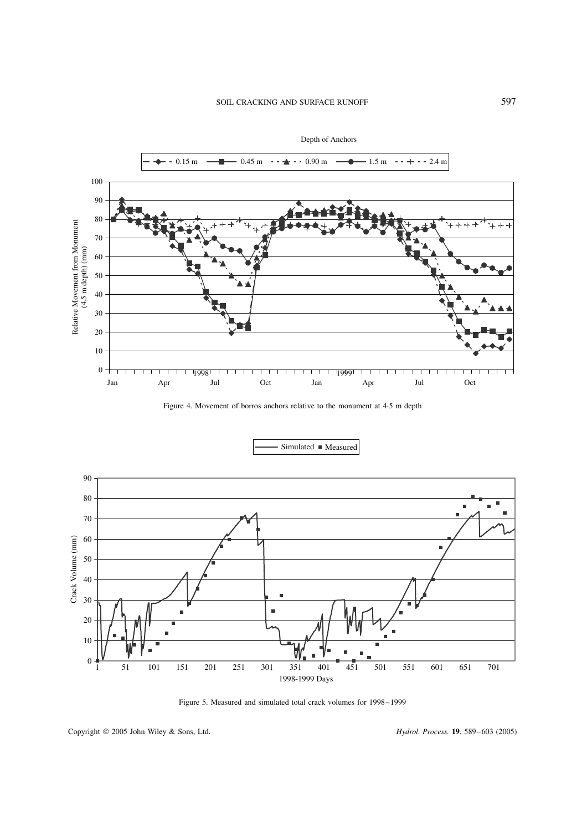



Figure 4. Movement of borros anchors relative to the monument at 4.5 m depth



Figure 5. Measured and simulated total crack volumes for 1998– 1999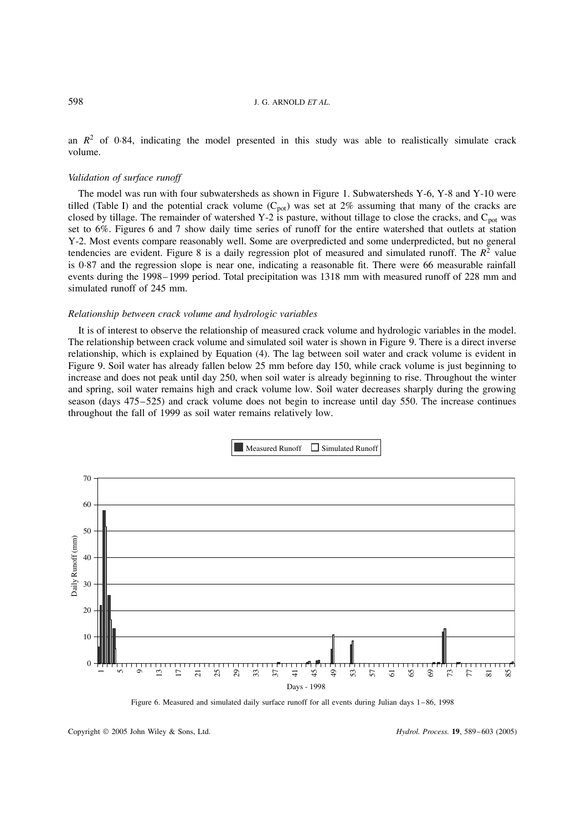an  $R^2$  of 0 $\cdot$ 84, indicating the model presented in this study was able to realistically simulate crack volume.

## *Validation of surface runoff*

The model was run with four subwatersheds as shown in Figure 1. Subwatersheds Y-6, Y-8 and Y-10 were tilled (Table I) and the potential crack volume  $(C_{pot})$  was set at  $2\%$  assuming that many of the cracks are closed by tillage. The remainder of watershed Y-2 is pasture, without tillage to close the cracks, and  $C_{pot}$  was set to 6%. Figures 6 and 7 show daily time series of runoff for the entire watershed that outlets at station Y-2. Most events compare reasonably well. Some are overpredicted and some underpredicted, but no general tendencies are evident. Figure 8 is a daily regression plot of measured and simulated runoff. The  $R^2$  value is 0Ð87 and the regression slope is near one, indicating a reasonable fit. There were 66 measurable rainfall events during the 1998–1999 period. Total precipitation was 1318 mm with measured runoff of 228 mm and simulated runoff of 245 mm.

#### *Relationship between crack volume and hydrologic variables*

It is of interest to observe the relationship of measured crack volume and hydrologic variables in the model. The relationship between crack volume and simulated soil water is shown in Figure 9. There is a direct inverse relationship, which is explained by Equation (4). The lag between soil water and crack volume is evident in Figure 9. Soil water has already fallen below 25 mm before day 150, while crack volume is just beginning to increase and does not peak until day 250, when soil water is already beginning to rise. Throughout the winter and spring, soil water remains high and crack volume low. Soil water decreases sharply during the growing season (days 475–525) and crack volume does not begin to increase until day 550. The increase continues throughout the fall of 1999 as soil water remains relatively low.



Figure 6. Measured and simulated daily surface runoff for all events during Julian days 1–86, 1998

Copyright 2005 John Wiley & Sons, Ltd. *Hydrol. Process.* **19**, 589– 603 (2005)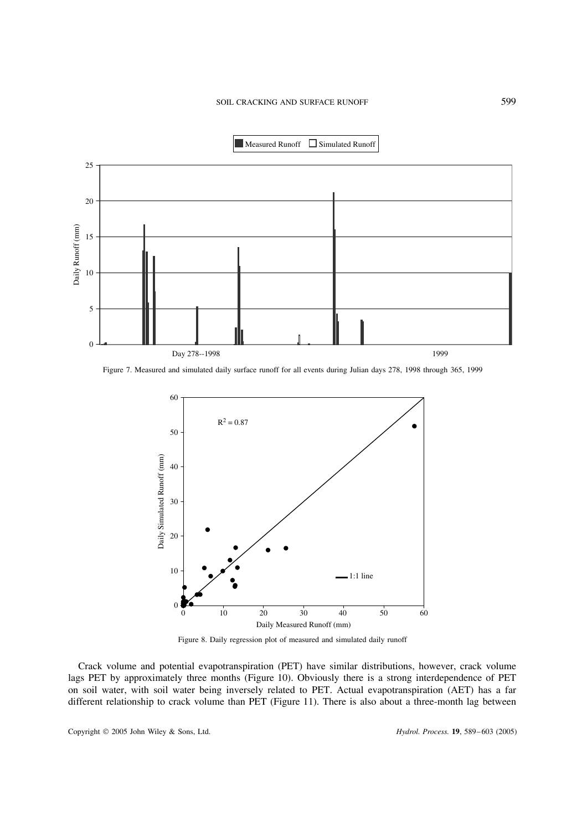

Figure 7. Measured and simulated daily surface runoff for all events during Julian days 278, 1998 through 365, 1999



Figure 8. Daily regression plot of measured and simulated daily runoff

Crack volume and potential evapotranspiration (PET) have similar distributions, however, crack volume lags PET by approximately three months (Figure 10). Obviously there is a strong interdependence of PET on soil water, with soil water being inversely related to PET. Actual evapotranspiration (AET) has a far different relationship to crack volume than PET (Figure 11). There is also about a three-month lag between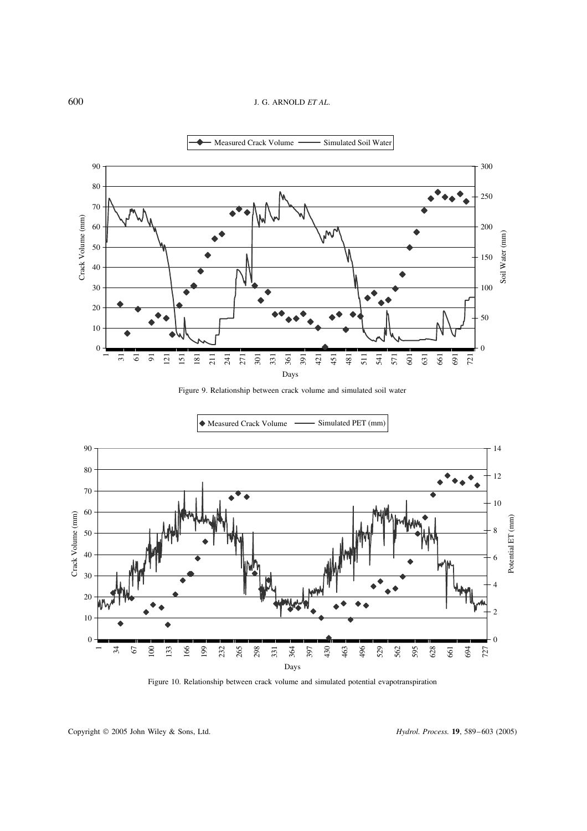





◆ Measured Crack Volume –– Simulated PET (mm)

Figure 10. Relationship between crack volume and simulated potential evapotranspiration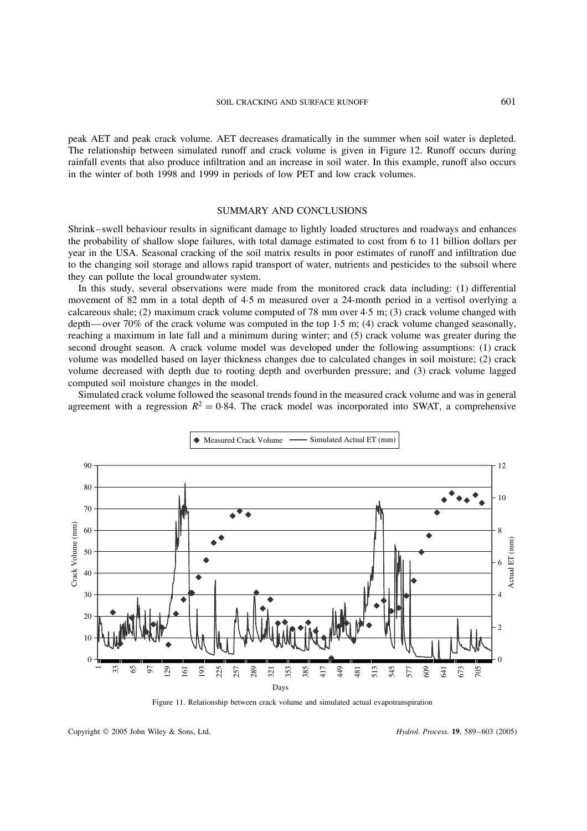peak AET and peak crack volume. AET decreases dramatically in the summer when soil water is depleted. The relationship between simulated runoff and crack volume is given in Figure 12. Runoff occurs during rainfall events that also produce infiltration and an increase in soil water. In this example, runoff also occurs in the winter of both 1998 and 1999 in periods of low PET and low crack volumes.

# SUMMARY AND CONCLUSIONS

Shrink–swell behaviour results in significant damage to lightly loaded structures and roadways and enhances the probability of shallow slope failures, with total damage estimated to cost from 6 to 11 billion dollars per year in the USA. Seasonal cracking of the soil matrix results in poor estimates of runoff and infiltration due to the changing soil storage and allows rapid transport of water, nutrients and pesticides to the subsoil where they can pollute the local groundwater system.

In this study, several observations were made from the monitored crack data including: (1) differential movement of 82 mm in a total depth of 4.5 m measured over a 24-month period in a vertisol overlying a calcareous shale; (2) maximum crack volume computed of 78 mm over  $4.5$  m; (3) crack volume changed with depth—over 70% of the crack volume was computed in the top 1.5 m; (4) crack volume changed seasonally, reaching a maximum in late fall and a minimum during winter; and (5) crack volume was greater during the second drought season. A crack volume model was developed under the following assumptions: (1) crack volume was modelled based on layer thickness changes due to calculated changes in soil moisture; (2) crack volume decreased with depth due to rooting depth and overburden pressure; and (3) crack volume lagged computed soil moisture changes in the model.

Simulated crack volume followed the seasonal trends found in the measured crack volume and was in general agreement with a regression  $R^2 = 0.84$ . The crack model was incorporated into SWAT, a comprehensive



Figure 11. Relationship between crack volume and simulated actual evapotranspiration

Copyright 2005 John Wiley & Sons, Ltd. *Hydrol. Process.* **19**, 589– 603 (2005)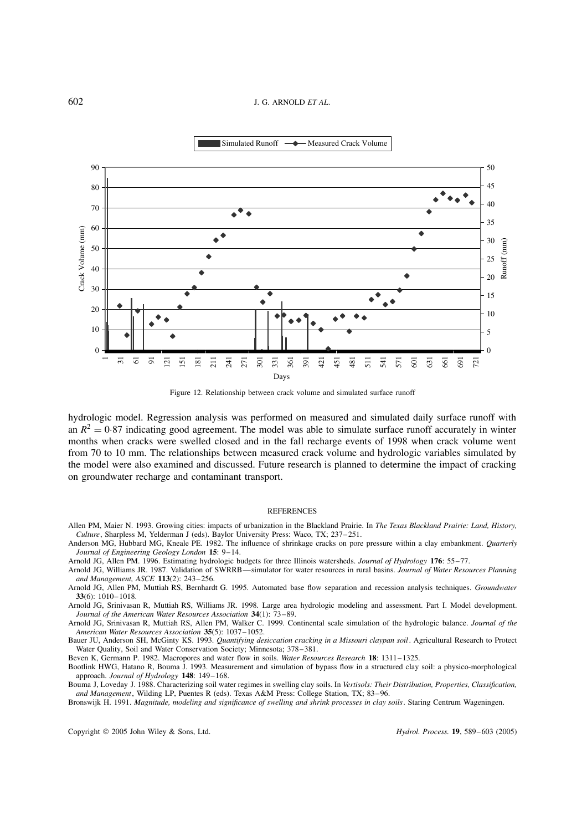

Figure 12. Relationship between crack volume and simulated surface runoff

hydrologic model. Regression analysis was performed on measured and simulated daily surface runoff with an  $R^2 = 0.87$  indicating good agreement. The model was able to simulate surface runoff accurately in winter months when cracks were swelled closed and in the fall recharge events of 1998 when crack volume went from 70 to 10 mm. The relationships between measured crack volume and hydrologic variables simulated by the model were also examined and discussed. Future research is planned to determine the impact of cracking on groundwater recharge and contaminant transport.

#### REFERENCES

- Allen PM, Maier N. 1993. Growing cities: impacts of urbanization in the Blackland Prairie. In *The Texas Blackland Prairie: Land, History, Culture*, Sharpless M, Yelderman J (eds). Baylor University Press: Waco, TX; 237– 251.
- Anderson MG, Hubbard MG, Kneale PE. 1982. The influence of shrinkage cracks on pore pressure within a clay embankment. *Quarterly Journal of Engineering Geology London* **15**: 9–14.
- Arnold JG, Allen PM. 1996. Estimating hydrologic budgets for three Illinois watersheds. *Journal of Hydrology* **176**: 55– 77.
- Arnold JG, Williams JR. 1987. Validation of SWRRB—simulator for water resources in rural basins. *Journal of Water Resources Planning and Management, ASCE* **113**(2): 243– 256.
- Arnold JG, Allen PM, Muttiah RS, Bernhardt G. 1995. Automated base flow separation and recession analysis techniques. *Groundwater* **33**(6): 1010– 1018.
- Arnold JG, Srinivasan R, Muttiah RS, Williams JR. 1998. Large area hydrologic modeling and assessment. Part I. Model development. *Journal of the American Water Resources Association* **34**(1): 73–89.

Arnold JG, Srinivasan R, Muttiah RS, Allen PM, Walker C. 1999. Continental scale simulation of the hydrologic balance. *Journal of the American Water Resources Association* **35**(5): 1037– 1052.

Bauer JU, Anderson SH, McGinty KS. 1993. *Quantifying desiccation cracking in a Missouri claypan soil*. Agricultural Research to Protect Water Quality, Soil and Water Conservation Society; Minnesota; 378-381.

Beven K, Germann P. 1982. Macropores and water flow in soils. *Water Resources Research* **18**: 1311– 1325.

Bootlink HWG, Hatano R, Bouma J. 1993. Measurement and simulation of bypass flow in a structured clay soil: a physico-morphological approach. *Journal of Hydrology* **148**: 149– 168.

Bouma J, Loveday J. 1988. Characterizing soil water regimes in swelling clay soils. In *Vertisols: Their Distribution, Properties, Classification, and Management*, Wilding LP, Puentes R (eds). Texas A&M Press: College Station, TX; 83–96.

Bronswijk H. 1991. *Magnitude, modeling and significance of swelling and shrink processes in clay soils*. Staring Centrum Wageningen.